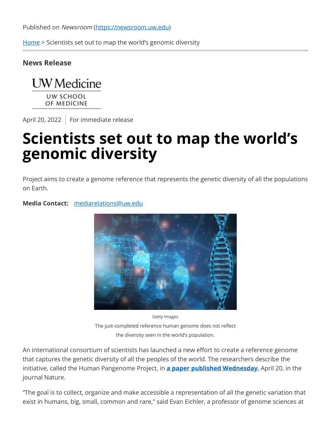Published on Newsroom [\(https://newsroom.uw.edu\)](https://newsroom.uw.edu/)

[Home](https://newsroom.uw.edu/) > Scientists set out to map the world's genomic diversity

## **News Release**



OF MEDICINE

April 20, 2022 For immediate release

## **Scientists set out to map the world's genomic diversity**

Project aims to create a genome reference that represents the genetic diversity of all the populations on Earth.

## **Media Contact:** [mediarelations@uw.edu](mailto:mediarelations@uw.edu)



Getty Images The just-completed reference human genome does not reflect the diversity seen in the world's population.

An international consortium of scientists has launched a new effort to create a reference genome that captures the genetic diversity of all the peoples of the world. The researchers describe the initiative, called the Human Pangenome Project, in **[a paper published Wednesday](https://www.nature.com/articles/s41586-022-04601-8)**, April 20, in the journal Nature.

"The goal is to collect, organize and make accessible a representation of all the genetic variation that exist in humans, big, small, common and rare," said Evan Eichler, a professor of genome sciences at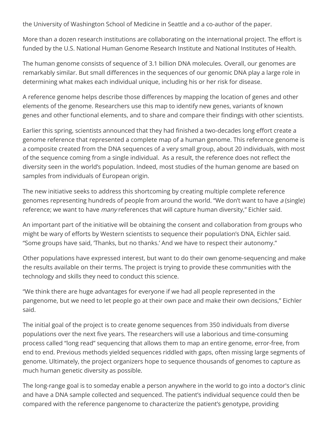the University of Washington School of Medicine in Seattle and a co-author of the paper.

More than a dozen research institutions are collaborating on the international project. The effort is funded by the U.S. National Human Genome Research Institute and National Institutes of Health.

The human genome consists of sequence of 3.1 billion DNA molecules. Overall, our genomes are remarkably similar. But small differences in the sequences of our genomic DNA play a large role in determining what makes each individual unique, including his or her risk for disease.

A reference genome helps describe those differences by mapping the location of genes and other elements of the genome. Researchers use this map to identify new genes, variants of known genes and other functional elements, and to share and compare their findings with other scientists.

Earlier this spring, scientists announced that they had finished a two-decades long effort create a genome reference that represented a complete map of a human genome. This reference genome is a composite created from the DNA sequences of a very small group, about 20 individuals, with most of the sequence coming from a single individual. As a result, the reference does not reflect the diversity seen in the world's population. Indeed, most studies of the human genome are based on samples from individuals of European origin.

The new initiative seeks to address this shortcoming by creating multiple complete reference genomes representing hundreds of people from around the world. "We don't want to have <sup>a</sup> (single) reference; we want to have *many* references that will capture human diversity," Eichler said.

An important part of the initiative will be obtaining the consent and collaboration from groups who might be wary of efforts by Western scientists to sequence their population's DNA, Eichler said. "Some groups have said, 'Thanks, but no thanks.' And we have to respect their autonomy."

Other populations have expressed interest, but want to do their own genome-sequencing and make the results available on their terms. The project is trying to provide these communities with the technology and skills they need to conduct this science.

"We think there are huge advantages for everyone if we had all people represented in the pangenome, but we need to let people go at their own pace and make their own decisions," Eichler said.

The initial goal of the project is to create genome sequences from 350 individuals from diverse populations over the next five years. The researchers will use a laborious and time-consuming process called "long read" sequencing that allows them to map an entire genome, error-free, from end to end. Previous methods yielded sequences riddled with gaps, often missing large segments of genome. Ultimately, the project organizers hope to sequence thousands of genomes to capture as much human genetic diversity as possible.

The long-range goal is to someday enable a person anywhere in the world to go into a doctor's clinic and have a DNA sample collected and sequenced. The patient's individual sequence could then be compared with the reference pangenome to characterize the patient's genotype, providing